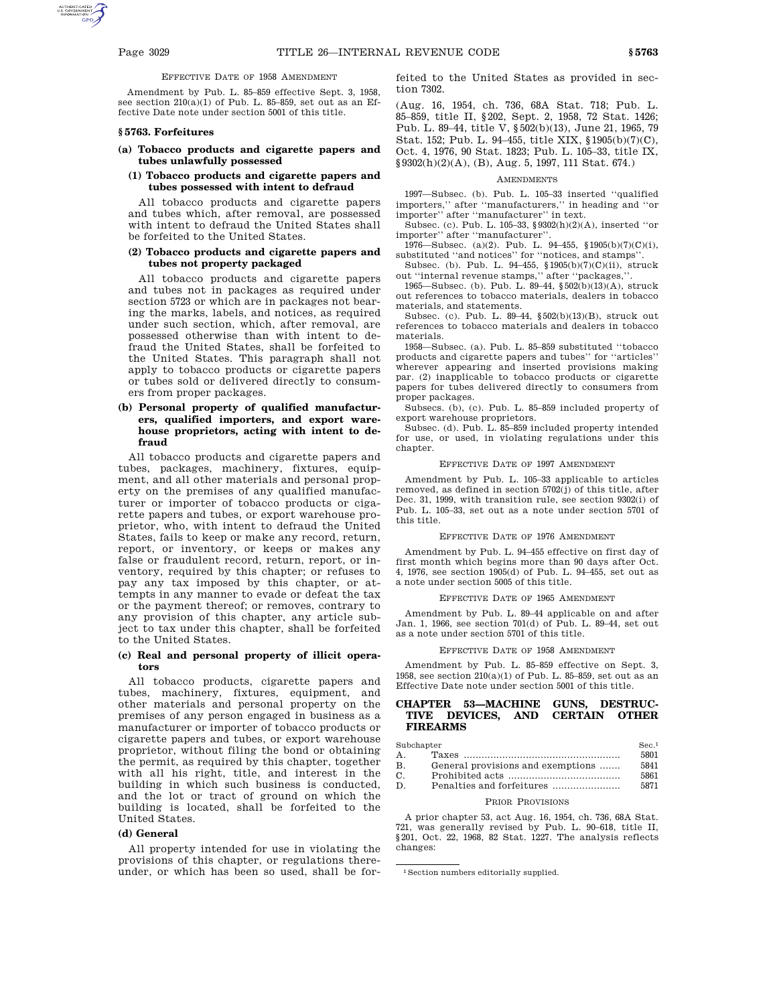EFFECTIVE DATE OF 1958 AMENDMENT

Amendment by Pub. L. 85–859 effective Sept. 3, 1958, see section 210(a)(1) of Pub. L. 85–859, set out as an Effective Date note under section 5001 of this title.

# **§ 5763. Forfeitures**

### **(a) Tobacco products and cigarette papers and tubes unlawfully possessed**

# **(1) Tobacco products and cigarette papers and tubes possessed with intent to defraud**

All tobacco products and cigarette papers and tubes which, after removal, are possessed with intent to defraud the United States shall be forfeited to the United States.

# **(2) Tobacco products and cigarette papers and tubes not property packaged**

All tobacco products and cigarette papers and tubes not in packages as required under section 5723 or which are in packages not bearing the marks, labels, and notices, as required under such section, which, after removal, are possessed otherwise than with intent to defraud the United States, shall be forfeited to the United States. This paragraph shall not apply to tobacco products or cigarette papers or tubes sold or delivered directly to consumers from proper packages.

# **(b) Personal property of qualified manufacturers, qualified importers, and export warehouse proprietors, acting with intent to defraud**

All tobacco products and cigarette papers and tubes, packages, machinery, fixtures, equipment, and all other materials and personal property on the premises of any qualified manufacturer or importer of tobacco products or cigarette papers and tubes, or export warehouse proprietor, who, with intent to defraud the United States, fails to keep or make any record, return, report, or inventory, or keeps or makes any false or fraudulent record, return, report, or inventory, required by this chapter; or refuses to pay any tax imposed by this chapter, or attempts in any manner to evade or defeat the tax or the payment thereof; or removes, contrary to any provision of this chapter, any article subject to tax under this chapter, shall be forfeited to the United States.

# **(c) Real and personal property of illicit operators**

All tobacco products, cigarette papers and tubes, machinery, fixtures, equipment, and other materials and personal property on the premises of any person engaged in business as a manufacturer or importer of tobacco products or cigarette papers and tubes, or export warehouse proprietor, without filing the bond or obtaining the permit, as required by this chapter, together with all his right, title, and interest in the building in which such business is conducted, and the lot or tract of ground on which the building is located, shall be forfeited to the United States.

### **(d) General**

All property intended for use in violating the provisions of this chapter, or regulations thereunder, or which has been so used, shall be forfeited to the United States as provided in section 7302.

(Aug. 16, 1954, ch. 736, 68A Stat. 718; Pub. L. 85–859, title II, §202, Sept. 2, 1958, 72 Stat. 1426; Pub. L. 89–44, title V, §502(b)(13), June 21, 1965, 79 Stat. 152; Pub. L. 94–455, title XIX, §1905(b)(7)(C), Oct. 4, 1976, 90 Stat. 1823; Pub. L. 105–33, title IX, §9302(h)(2)(A), (B), Aug. 5, 1997, 111 Stat. 674.)

#### **AMENDMENTS**

1997—Subsec. (b). Pub. L. 105–33 inserted ''qualified importers,'' after ''manufacturers,'' in heading and ''or importer'' after ''manufacturer'' in text.

Subsec. (c). Pub. L. 105–33, §9302(h)(2)(A), inserted ''or importer'' after ''manufacturer''.

1976—Subsec. (a)(2). Pub. L. 94–455, §1905(b)(7)(C)(i), substituted ''and notices'' for ''notices, and stamps''.

Subsec. (b). Pub. L. 94–455, §1905(b)(7)(C)(ii), struck out ''internal revenue stamps,'' after ''packages,''.

1965—Subsec. (b). Pub. L. 89–44, §502(b)(13)(A), struck out references to tobacco materials, dealers in tobacco materials, and statements.

Subsec. (c). Pub. L. 89–44, §502(b)(13)(B), struck out references to tobacco materials and dealers in tobacco materials.

1958—Subsec. (a). Pub. L. 85–859 substituted ''tobacco products and cigarette papers and tubes'' for ''articles'' wherever appearing and inserted provisions making par. (2) inapplicable to tobacco products or cigarette papers for tubes delivered directly to consumers from proper packages.

Subsecs. (b), (c). Pub. L. 85–859 included property of export warehouse proprietors.

Subsec. (d). Pub. L. 85–859 included property intended for use, or used, in violating regulations under this chapter.

### EFFECTIVE DATE OF 1997 AMENDMENT

Amendment by Pub. L. 105–33 applicable to articles removed, as defined in section 5702(j) of this title, after Dec. 31, 1999, with transition rule, see section 9302(i) of Pub. L. 105–33, set out as a note under section 5701 of this title.

## EFFECTIVE DATE OF 1976 AMENDMENT

Amendment by Pub. L. 94–455 effective on first day of first month which begins more than 90 days after Oct. 4, 1976, see section 1905(d) of Pub. L. 94–455, set out as a note under section 5005 of this title.

### EFFECTIVE DATE OF 1965 AMENDMENT

Amendment by Pub. L. 89–44 applicable on and after Jan. 1, 1966, see section 701(d) of Pub. L. 89–44, set out as a note under section 5701 of this title.

#### EFFECTIVE DATE OF 1958 AMENDMENT

Amendment by Pub. L. 85–859 effective on Sept. 3, 1958, see section 210(a)(1) of Pub. L. 85–859, set out as an Effective Date note under section 5001 of this title.

# **CHAPTER 53—MACHINE GUNS, DESTRUC-TIVE DEVICES, AND CERTAIN OTHER FIREARMS**

Subchanter Sec. 1

| A. |                                   | 5801 |
|----|-----------------------------------|------|
| В. | General provisions and exemptions | 5841 |
| C. |                                   | 5861 |
| D. |                                   | 5871 |
|    |                                   |      |

### PRIOR PROVISIONS

A prior chapter 53, act Aug. 16, 1954, ch. 736, 68A Stat. 721, was generally revised by Pub. L. 90–618, title II, §201, Oct. 22, 1968, 82 Stat. 1227. The analysis reflects changes:

<sup>1</sup>Section numbers editorially supplied.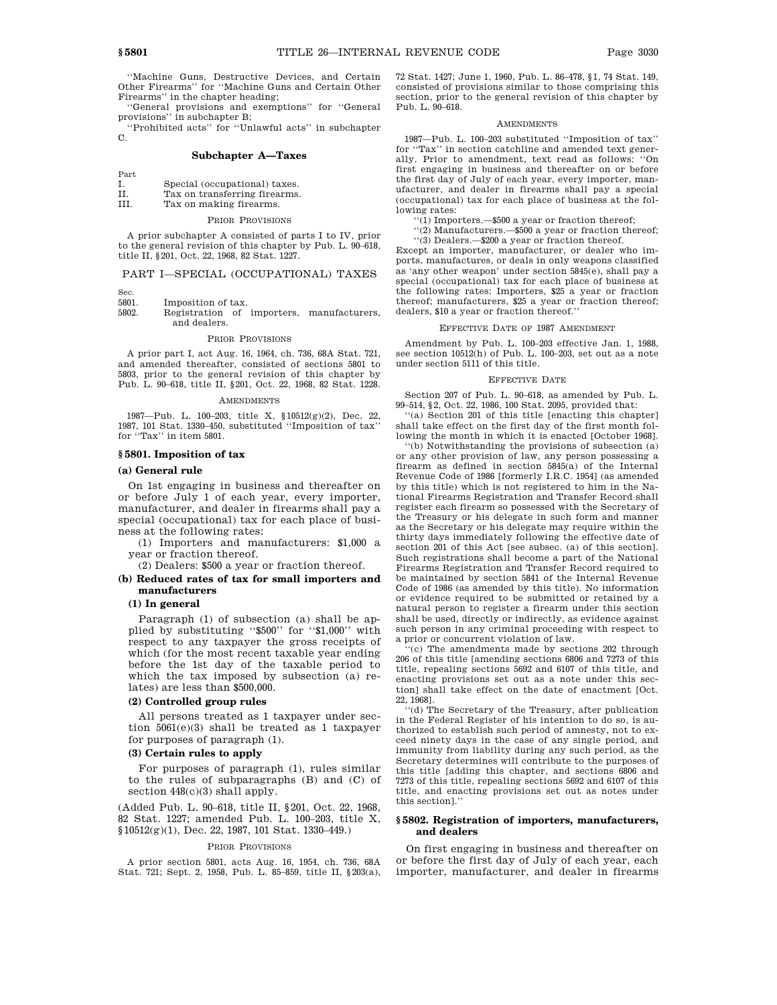''Machine Guns, Destructive Devices, and Certain Other Firearms'' for ''Machine Guns and Certain Other Firearms'' in the chapter heading;

''General provisions and exemptions'' for ''General provisions'' in subchapter B;

''Prohibited acts'' for ''Unlawful acts'' in subchapter C.

#### **Subchapter A—Taxes**

Part

| Ι. | Special (occupational) taxes. |
|----|-------------------------------|
|----|-------------------------------|

II. Tax on transferring firearms.

III. Tax on making firearms.

#### PRIOR PROVISIONS

A prior subchapter A consisted of parts I to IV, prior to the general revision of this chapter by Pub. L. 90–618, title II, §201, Oct. 22, 1968, 82 Stat. 1227.

# PART I—SPECIAL (OCCUPATIONAL) TAXES

| Sec.        |                                             |
|-------------|---------------------------------------------|
| <b>FOO1</b> | $T_{11}$ , and a set of the set of $T_{11}$ |

- 5801. Imposition of tax.<br>5802. Registration of
- Registration of importers, manufacturers, and dealers.

#### PRIOR PROVISIONS

A prior part I, act Aug. 16, 1964, ch. 736, 68A Stat. 721, and amended thereafter, consisted of sections 5801 to 5803, prior to the general revision of this chapter by Pub. L. 90–618, title II, §201, Oct. 22, 1968, 82 Stat. 1228.

#### **AMENDMENTS**

1987—Pub. L. 100–203, title X, §10512(g)(2), Dec. 22, 1987, 101 Stat. 1330–450, substituted ''Imposition of tax'' for ''Tax'' in item 5801.

### **§ 5801. Imposition of tax**

#### **(a) General rule**

On 1st engaging in business and thereafter on or before July 1 of each year, every importer, manufacturer, and dealer in firearms shall pay a special (occupational) tax for each place of business at the following rates:

(1) Importers and manufacturers: \$1,000 a year or fraction thereof.

(2) Dealers: \$500 a year or fraction thereof.

# **(b) Reduced rates of tax for small importers and manufacturers**

# **(1) In general**

Paragraph (1) of subsection (a) shall be applied by substituting ''\$500'' for ''\$1,000'' with respect to any taxpayer the gross receipts of which (for the most recent taxable year ending before the 1st day of the taxable period to which the tax imposed by subsection (a) relates) are less than \$500,000.

### **(2) Controlled group rules**

All persons treated as 1 taxpayer under section 5061(e)(3) shall be treated as 1 taxpayer for purposes of paragraph (1).

### **(3) Certain rules to apply**

For purposes of paragraph (1), rules similar to the rules of subparagraphs (B) and (C) of section  $448(c)(3)$  shall apply.

(Added Pub. L. 90–618, title II, §201, Oct. 22, 1968, 82 Stat. 1227; amended Pub. L. 100–203, title X, §10512(g)(1), Dec. 22, 1987, 101 Stat. 1330–449.)

#### PRIOR PROVISIONS

A prior section 5801, acts Aug. 16, 1954, ch. 736, 68A Stat. 721; Sept. 2, 1958, Pub. L. 85–859, title II, §203(a), 72 Stat. 1427; June 1, 1960, Pub. L. 86–478, §1, 74 Stat. 149, consisted of provisions similar to those comprising this section, prior to the general revision of this chapter by Pub. L. 90–618.

#### **AMENDMENTS**

1987—Pub. L. 100–203 substituted ''Imposition of tax'' for ''Tax'' in section catchline and amended text generally. Prior to amendment, text read as follows: ''On first engaging in business and thereafter on or before the first day of July of each year, every importer, manufacturer, and dealer in firearms shall pay a special (occupational) tax for each place of business at the following rates:

''(1) Importers.—\$500 a year or fraction thereof;

''(2) Manufacturers.—\$500 a year or fraction thereof;

''(3) Dealers.—\$200 a year or fraction thereof. Except an importer, manufacturer, or dealer who imports, manufactures, or deals in only weapons classified as 'any other weapon' under section 5845(e), shall pay a special (occupational) tax for each place of business at the following rates: Importers, \$25 a year or fraction thereof; manufacturers, \$25 a year or fraction thereof; dealers, \$10 a year or fraction thereof.''

### EFFECTIVE DATE OF 1987 AMENDMENT

Amendment by Pub. L. 100–203 effective Jan. 1, 1988, see section 10512(h) of Pub. L. 100–203, set out as a note under section 5111 of this title.

#### EFFECTIVE DATE

Section 207 of Pub. L. 90–618, as amended by Pub. L. 99–514, §2, Oct. 22, 1986, 100 Stat. 2095, provided that:

''(a) Section 201 of this title [enacting this chapter] shall take effect on the first day of the first month following the month in which it is enacted [October 1968].

''(b) Notwithstanding the provisions of subsection (a) or any other provision of law, any person possessing a firearm as defined in section 5845(a) of the Internal Revenue Code of 1986 [formerly I.R.C. 1954] (as amended by this title) which is not registered to him in the National Firearms Registration and Transfer Record shall register each firearm so possessed with the Secretary of the Treasury or his delegate in such form and manner as the Secretary or his delegate may require within the thirty days immediately following the effective date of section 201 of this Act [see subsec. (a) of this section]. Such registrations shall become a part of the National Firearms Registration and Transfer Record required to be maintained by section 5841 of the Internal Revenue Code of 1986 (as amended by this title). No information or evidence required to be submitted or retained by a natural person to register a firearm under this section shall be used, directly or indirectly, as evidence against such person in any criminal proceeding with respect to a prior or concurrent violation of law.

''(c) The amendments made by sections 202 through 206 of this title [amending sections 6806 and 7273 of this title, repealing sections 5692 and 6107 of this title, and enacting provisions set out as a note under this section] shall take effect on the date of enactment [Oct. 22, 1968].

''(d) The Secretary of the Treasury, after publication in the Federal Register of his intention to do so, is authorized to establish such period of amnesty, not to exceed ninety days in the case of any single period, and immunity from liability during any such period, as the Secretary determines will contribute to the purposes of this title [adding this chapter, and sections 6806 and 7273 of this title, repealing sections 5692 and 6107 of this title, and enacting provisions set out as notes under this section].''

### **§ 5802. Registration of importers, manufacturers, and dealers**

On first engaging in business and thereafter on or before the first day of July of each year, each importer, manufacturer, and dealer in firearms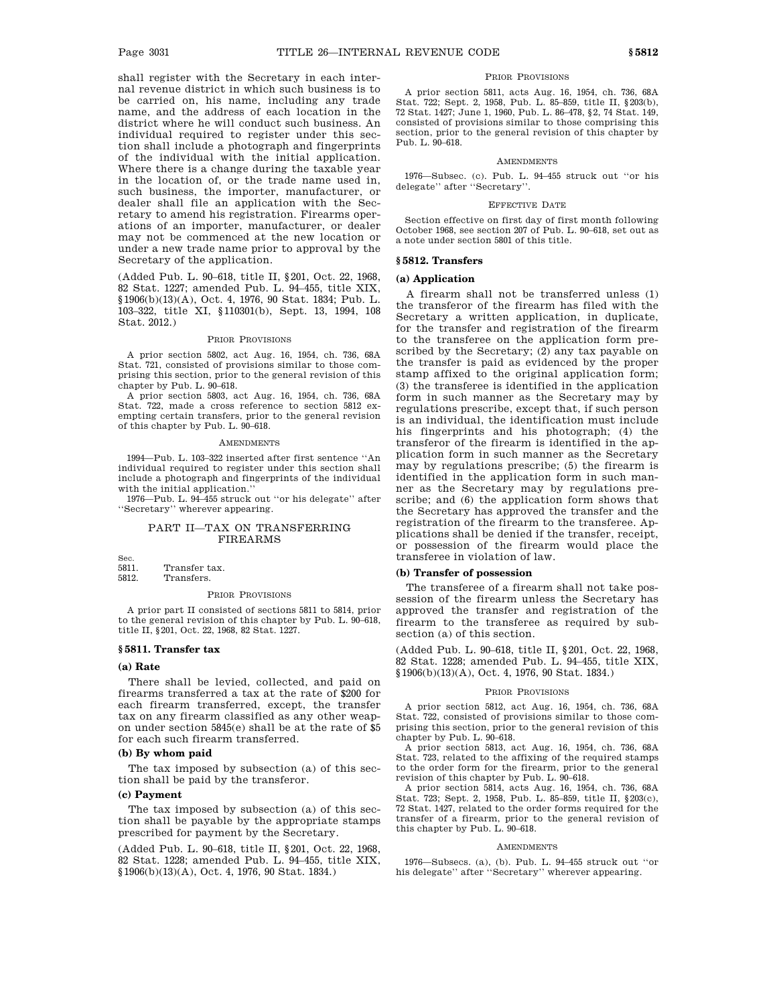shall register with the Secretary in each internal revenue district in which such business is to be carried on, his name, including any trade name, and the address of each location in the district where he will conduct such business. An individual required to register under this section shall include a photograph and fingerprints of the individual with the initial application. Where there is a change during the taxable year in the location of, or the trade name used in, such business, the importer, manufacturer, or dealer shall file an application with the Secretary to amend his registration. Firearms operations of an importer, manufacturer, or dealer may not be commenced at the new location or under a new trade name prior to approval by the Secretary of the application.

(Added Pub. L. 90–618, title II, §201, Oct. 22, 1968, 82 Stat. 1227; amended Pub. L. 94–455, title XIX, §1906(b)(13)(A), Oct. 4, 1976, 90 Stat. 1834; Pub. L. 103–322, title XI, §110301(b), Sept. 13, 1994, 108 Stat. 2012.)

### PRIOR PROVISIONS

A prior section 5802, act Aug. 16, 1954, ch. 736, 68A Stat. 721, consisted of provisions similar to those comprising this section, prior to the general revision of this chapter by Pub. L. 90–618.

A prior section 5803, act Aug. 16, 1954, ch. 736, 68A Stat. 722, made a cross reference to section 5812 exempting certain transfers, prior to the general revision of this chapter by Pub. L. 90–618.

#### AMENDMENTS

1994—Pub. L. 103–322 inserted after first sentence ''An individual required to register under this section shall include a photograph and fingerprints of the individual with the initial application.''

1976—Pub. L. 94–455 struck out ''or his delegate'' after ''Secretary'' wherever appearing.

### PART II—TAX ON TRANSFERRING FIREARMS

Sec. 5811. Transfer tax. 5812. Transfers.

### PRIOR PROVISIONS

A prior part II consisted of sections 5811 to 5814, prior to the general revision of this chapter by Pub. L. 90–618, title II, §201, Oct. 22, 1968, 82 Stat. 1227.

# **§ 5811. Transfer tax**

# **(a) Rate**

There shall be levied, collected, and paid on firearms transferred a tax at the rate of \$200 for each firearm transferred, except, the transfer tax on any firearm classified as any other weapon under section 5845(e) shall be at the rate of \$5 for each such firearm transferred.

### **(b) By whom paid**

The tax imposed by subsection (a) of this section shall be paid by the transferor.

### **(c) Payment**

The tax imposed by subsection (a) of this section shall be payable by the appropriate stamps prescribed for payment by the Secretary.

(Added Pub. L. 90–618, title II, §201, Oct. 22, 1968, 82 Stat. 1228; amended Pub. L. 94–455, title XIX, §1906(b)(13)(A), Oct. 4, 1976, 90 Stat. 1834.)

### PRIOR PROVISIONS

A prior section 5811, acts Aug. 16, 1954, ch. 736, 68A Stat. 722; Sept. 2, 1958, Pub. L. 85–859, title II, §203(b), 72 Stat. 1427; June 1, 1960, Pub. L. 86–478, §2, 74 Stat. 149, consisted of provisions similar to those comprising this section, prior to the general revision of this chapter by Pub. L. 90–618.

### **AMENDMENTS**

1976—Subsec. (c). Pub. L. 94–455 struck out ''or his delegate'' after ''Secretary''.

### EFFECTIVE DATE

Section effective on first day of first month following October 1968, see section 207 of Pub. L. 90–618, set out as a note under section 5801 of this title.

# **§ 5812. Transfers**

# **(a) Application**

A firearm shall not be transferred unless (1) the transferor of the firearm has filed with the Secretary a written application, in duplicate, for the transfer and registration of the firearm to the transferee on the application form prescribed by the Secretary; (2) any tax payable on the transfer is paid as evidenced by the proper stamp affixed to the original application form; (3) the transferee is identified in the application form in such manner as the Secretary may by regulations prescribe, except that, if such person is an individual, the identification must include his fingerprints and his photograph; (4) the transferor of the firearm is identified in the application form in such manner as the Secretary may by regulations prescribe; (5) the firearm is identified in the application form in such manner as the Secretary may by regulations prescribe; and (6) the application form shows that the Secretary has approved the transfer and the registration of the firearm to the transferee. Applications shall be denied if the transfer, receipt, or possession of the firearm would place the transferee in violation of law.

# **(b) Transfer of possession**

The transferee of a firearm shall not take possession of the firearm unless the Secretary has approved the transfer and registration of the firearm to the transferee as required by subsection (a) of this section.

(Added Pub. L. 90–618, title II, §201, Oct. 22, 1968, 82 Stat. 1228; amended Pub. L. 94–455, title XIX, §1906(b)(13)(A), Oct. 4, 1976, 90 Stat. 1834.)

#### PRIOR PROVISIONS

A prior section 5812, act Aug. 16, 1954, ch. 736, 68A Stat. 722, consisted of provisions similar to those comprising this section, prior to the general revision of this chapter by Pub. L. 90–618.

A prior section 5813, act Aug. 16, 1954, ch. 736, 68A Stat. 723, related to the affixing of the required stamps to the order form for the firearm, prior to the general revision of this chapter by Pub. L. 90–618.

A prior section 5814, acts Aug. 16, 1954, ch. 736, 68A Stat. 723; Sept. 2, 1958, Pub. L. 85–859, title II, §203(c), 72 Stat. 1427, related to the order forms required for the transfer of a firearm, prior to the general revision of this chapter by Pub. L. 90–618.

#### **AMENDMENTS**

1976—Subsecs. (a), (b). Pub. L. 94–455 struck out ''or his delegate'' after ''Secretary'' wherever appearing.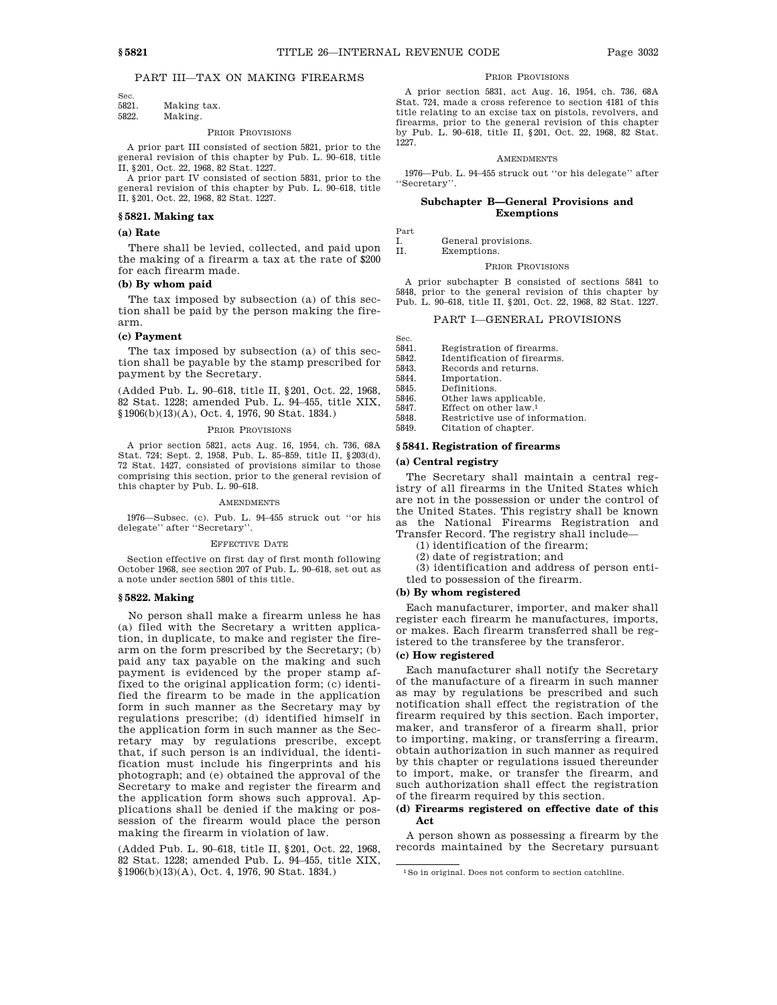# PART III—TAX ON MAKING FIREARMS

| Sec.  |             |
|-------|-------------|
| 5821. | Making tax. |
| 5822. | Making.     |

#### PRIOR PROVISIONS

A prior part III consisted of section 5821, prior to the general revision of this chapter by Pub. L. 90–618, title II, §201, Oct. 22, 1968, 82 Stat. 1227.

A prior part IV consisted of section 5831, prior to the general revision of this chapter by Pub. L. 90–618, title II, §201, Oct. 22, 1968, 82 Stat. 1227.

# **§ 5821. Making tax**

# **(a) Rate**

There shall be levied, collected, and paid upon the making of a firearm a tax at the rate of \$200 for each firearm made.

# **(b) By whom paid**

The tax imposed by subsection (a) of this section shall be paid by the person making the firearm.

# **(c) Payment**

The tax imposed by subsection (a) of this section shall be payable by the stamp prescribed for payment by the Secretary.

(Added Pub. L. 90–618, title II, §201, Oct. 22, 1968, 82 Stat. 1228; amended Pub. L. 94–455, title XIX, §1906(b)(13)(A), Oct. 4, 1976, 90 Stat. 1834.)

# PRIOR PROVISIONS

A prior section 5821, acts Aug. 16, 1954, ch. 736, 68A Stat. 724; Sept. 2, 1958, Pub. L. 85–859, title II, §203(d), 72 Stat. 1427, consisted of provisions similar to those comprising this section, prior to the general revision of this chapter by Pub. L. 90–618.

#### **AMENDMENTS**

1976—Subsec. (c). Pub. L. 94–455 struck out ''or his delegate'' after ''Secretary''.

#### EFFECTIVE DATE

Section effective on first day of first month following October 1968, see section 207 of Pub. L. 90–618, set out as a note under section 5801 of this title.

### **§ 5822. Making**

No person shall make a firearm unless he has (a) filed with the Secretary a written application, in duplicate, to make and register the firearm on the form prescribed by the Secretary; (b) paid any tax payable on the making and such payment is evidenced by the proper stamp affixed to the original application form; (c) identified the firearm to be made in the application form in such manner as the Secretary may by regulations prescribe; (d) identified himself in the application form in such manner as the Secretary may by regulations prescribe, except that, if such person is an individual, the identification must include his fingerprints and his photograph; and (e) obtained the approval of the Secretary to make and register the firearm and the application form shows such approval. Applications shall be denied if the making or possession of the firearm would place the person making the firearm in violation of law.

(Added Pub. L. 90–618, title II, §201, Oct. 22, 1968, 82 Stat. 1228; amended Pub. L. 94–455, title XIX, §1906(b)(13)(A), Oct. 4, 1976, 90 Stat. 1834.)

# PRIOR PROVISIONS

A prior section 5831, act Aug. 16, 1954, ch. 736, 68A Stat. 724, made a cross reference to section 4181 of this title relating to an excise tax on pistols, revolvers, and firearms, prior to the general revision of this chapter by Pub. L. 90–618, title II, §201, Oct. 22, 1968, 82 Stat. 1227.

### **AMENDMENTS**

1976—Pub. L. 94–455 struck out ''or his delegate'' after ''Secretary''.

# **Subchapter B—General Provisions and Exemptions**

Part

I. General provisions.<br>II. Exemptions

Exemptions.

# PRIOR PROVISIONS

A prior subchapter B consisted of sections 5841 to 5848, prior to the general revision of this chapter by Pub. L. 90–618, title II, §201, Oct. 22, 1968, 82 Stat. 1227.

# PART I—GENERAL PROVISIONS

- Sec.<br>5841. Registration of firearms.
- 5842. Identification of firearms.<br>5843. Records and returns.
- Records and returns.
- 5844. Importation.<br>5845. Definitions.
- Definitions.
- 5846. Other laws applicable.
- 5847. Effect on other law.1
- 5848. Restrictive use of information.
- 5849. Citation of chapter.

# **§ 5841. Registration of firearms**

### **(a) Central registry**

The Secretary shall maintain a central registry of all firearms in the United States which are not in the possession or under the control of the United States. This registry shall be known as the National Firearms Registration and Transfer Record. The registry shall include—

(1) identification of the firearm;

(2) date of registration; and

(3) identification and address of person enti-

tled to possession of the firearm.

# **(b) By whom registered**

Each manufacturer, importer, and maker shall register each firearm he manufactures, imports, or makes. Each firearm transferred shall be registered to the transferee by the transferor.

### **(c) How registered**

Each manufacturer shall notify the Secretary of the manufacture of a firearm in such manner as may by regulations be prescribed and such notification shall effect the registration of the firearm required by this section. Each importer, maker, and transferor of a firearm shall, prior to importing, making, or transferring a firearm, obtain authorization in such manner as required by this chapter or regulations issued thereunder to import, make, or transfer the firearm, and such authorization shall effect the registration of the firearm required by this section.

# **(d) Firearms registered on effective date of this Act**

A person shown as possessing a firearm by the records maintained by the Secretary pursuant

<sup>1</sup>So in original. Does not conform to section catchline.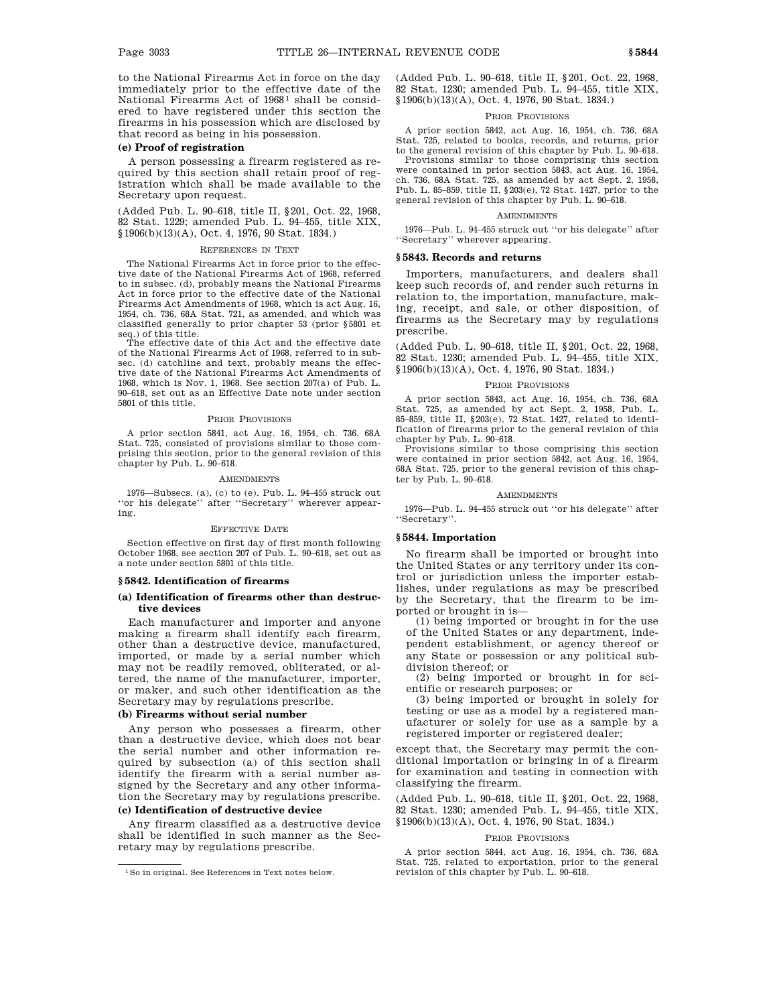to the National Firearms Act in force on the day immediately prior to the effective date of the National Firearms Act of 1968<sup>1</sup> shall be considered to have registered under this section the firearms in his possession which are disclosed by that record as being in his possession.

# **(e) Proof of registration**

A person possessing a firearm registered as required by this section shall retain proof of registration which shall be made available to the Secretary upon request.

(Added Pub. L. 90–618, title II, §201, Oct. 22, 1968, 82 Stat. 1229; amended Pub. L. 94–455, title XIX, §1906(b)(13)(A), Oct. 4, 1976, 90 Stat. 1834.)

# REFERENCES IN TEXT

The National Firearms Act in force prior to the effective date of the National Firearms Act of 1968, referred to in subsec. (d), probably means the National Firearms Act in force prior to the effective date of the National Firearms Act Amendments of 1968, which is act Aug. 16, 1954, ch. 736, 68A Stat. 721, as amended, and which was classified generally to prior chapter 53 (prior §5801 et seq.) of this title.

The effective date of this Act and the effective date of the National Firearms Act of 1968, referred to in subsec. (d) catchline and text, probably means the effective date of the National Firearms Act Amendments of 1968, which is Nov. 1, 1968. See section 207(a) of Pub. L. 90–618, set out as an Effective Date note under section 5801 of this title.

### PRIOR PROVISIONS

A prior section 5841, act Aug. 16, 1954, ch. 736, 68A Stat. 725, consisted of provisions similar to those comprising this section, prior to the general revision of this chapter by Pub. L. 90-618.

# AMENDMENTS

1976—Subsecs. (a), (c) to (e). Pub. L. 94–455 struck out ''or his delegate'' after ''Secretary'' wherever appearing.

#### EFFECTIVE DATE

Section effective on first day of first month following October 1968, see section 207 of Pub. L. 90–618, set out as a note under section 5801 of this title.

#### **§ 5842. Identification of firearms**

# **(a) Identification of firearms other than destructive devices**

Each manufacturer and importer and anyone making a firearm shall identify each firearm, other than a destructive device, manufactured, imported, or made by a serial number which may not be readily removed, obliterated, or altered, the name of the manufacturer, importer, or maker, and such other identification as the Secretary may by regulations prescribe.

### **(b) Firearms without serial number**

Any person who possesses a firearm, other than a destructive device, which does not bear the serial number and other information required by subsection (a) of this section shall identify the firearm with a serial number assigned by the Secretary and any other information the Secretary may by regulations prescribe.

# **(c) Identification of destructive device**

Any firearm classified as a destructive device shall be identified in such manner as the Secretary may by regulations prescribe.

(Added Pub. L. 90–618, title II, §201, Oct. 22, 1968, 82 Stat. 1230; amended Pub. L. 94–455, title XIX, §1906(b)(13)(A), Oct. 4, 1976, 90 Stat. 1834.)

### PRIOR PROVISIONS

A prior section 5842, act Aug. 16, 1954, ch. 736, 68A Stat. 725, related to books, records, and returns, prior to the general revision of this chapter by Pub. L. 90–618.

Provisions similar to those comprising this section were contained in prior section 5843, act Aug. 16, 1954, ch. 736, 68A Stat. 725, as amended by act Sept. 2, 1958, Pub. L. 85–859, title II, §203(e), 72 Stat. 1427, prior to the general revision of this chapter by Pub. L. 90–618.

#### AMENDMENTS

1976—Pub. L. 94–455 struck out ''or his delegate'' after ''Secretary'' wherever appearing.

# **§ 5843. Records and returns**

Importers, manufacturers, and dealers shall keep such records of, and render such returns in relation to, the importation, manufacture, making, receipt, and sale, or other disposition, of firearms as the Secretary may by regulations prescribe.

(Added Pub. L. 90–618, title II, §201, Oct. 22, 1968, 82 Stat. 1230; amended Pub. L. 94–455, title XIX, §1906(b)(13)(A), Oct. 4, 1976, 90 Stat. 1834.)

### PRIOR PROVISIONS

A prior section 5843, act Aug. 16, 1954, ch. 736, 68A Stat. 725, as amended by act Sept. 2, 1958, Pub. L. 85–859, title II, §203(e), 72 Stat. 1427, related to identification of firearms prior to the general revision of this chapter by Pub. L. 90–618.

Provisions similar to those comprising this section were contained in prior section 5842, act Aug. 16, 1954, 68A Stat. 725, prior to the general revision of this chapter by Pub. L. 90–618.

#### **AMENDMENTS**

1976—Pub. L. 94–455 struck out ''or his delegate'' after ''Secretary''.

### **§ 5844. Importation**

No firearm shall be imported or brought into the United States or any territory under its control or jurisdiction unless the importer establishes, under regulations as may be prescribed by the Secretary, that the firearm to be imported or brought in is—

(1) being imported or brought in for the use of the United States or any department, independent establishment, or agency thereof or any State or possession or any political subdivision thereof; or

(2) being imported or brought in for scientific or research purposes; or

(3) being imported or brought in solely for testing or use as a model by a registered manufacturer or solely for use as a sample by a registered importer or registered dealer;

except that, the Secretary may permit the conditional importation or bringing in of a firearm for examination and testing in connection with classifying the firearm.

(Added Pub. L. 90–618, title II, §201, Oct. 22, 1968, 82 Stat. 1230; amended Pub. L. 94–455, title XIX, §1906(b)(13)(A), Oct. 4, 1976, 90 Stat. 1834.)

# PRIOR PROVISIONS

A prior section 5844, act Aug. 16, 1954, ch. 736, 68A Stat. 725, related to exportation, prior to the general revision of this chapter by Pub. L. 90–618.

<sup>1</sup>So in original. See References in Text notes below.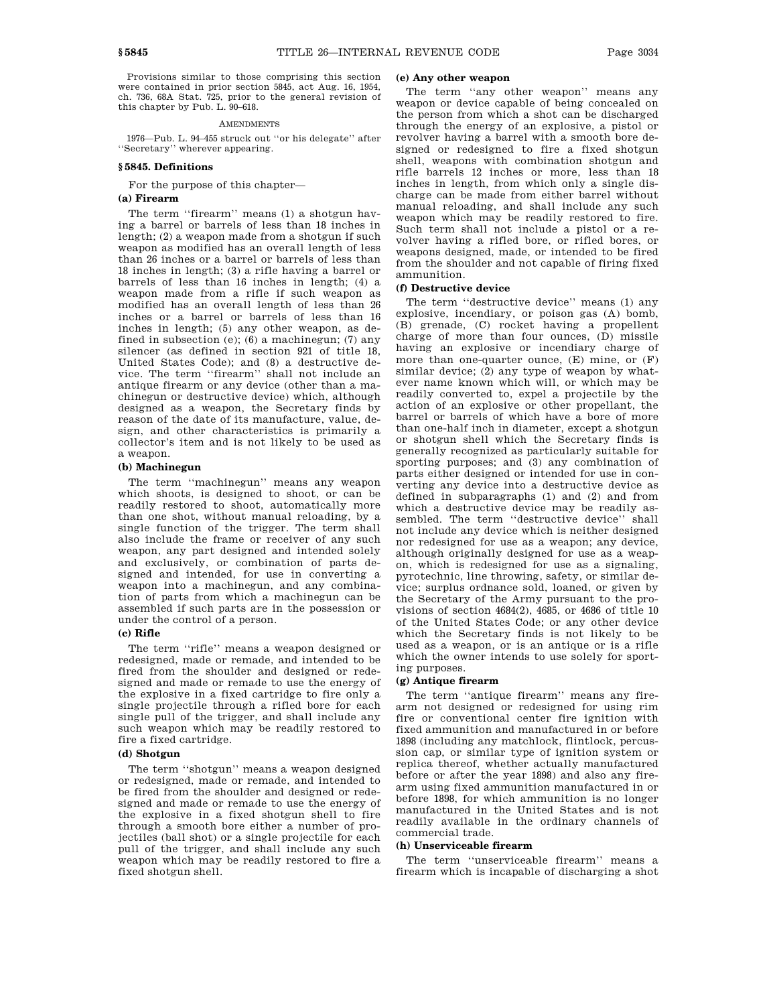Provisions similar to those comprising this section were contained in prior section 5845, act Aug. 16, 1954, ch. 736, 68A Stat. 725, prior to the general revision of this chapter by Pub. L. 90–618.

### **AMENDMENTS**

1976—Pub. L. 94–455 struck out ''or his delegate'' after ''Secretary'' wherever appearing.

# **§ 5845. Definitions**

For the purpose of this chapter—

# **(a) Firearm**

The term "firearm" means (1) a shotgun having a barrel or barrels of less than 18 inches in length; (2) a weapon made from a shotgun if such weapon as modified has an overall length of less than 26 inches or a barrel or barrels of less than 18 inches in length; (3) a rifle having a barrel or barrels of less than 16 inches in length; (4) a weapon made from a rifle if such weapon as modified has an overall length of less than 26 inches or a barrel or barrels of less than 16 inches in length; (5) any other weapon, as defined in subsection (e); (6) a machinegun; (7) any silencer (as defined in section 921 of title 18, United States Code); and (8) a destructive device. The term ''firearm'' shall not include an antique firearm or any device (other than a machinegun or destructive device) which, although designed as a weapon, the Secretary finds by reason of the date of its manufacture, value, design, and other characteristics is primarily a collector's item and is not likely to be used as a weapon.

# **(b) Machinegun**

The term ''machinegun'' means any weapon which shoots, is designed to shoot, or can be readily restored to shoot, automatically more than one shot, without manual reloading, by a single function of the trigger. The term shall also include the frame or receiver of any such weapon, any part designed and intended solely and exclusively, or combination of parts designed and intended, for use in converting a weapon into a machinegun, and any combination of parts from which a machinegun can be assembled if such parts are in the possession or under the control of a person.

# **(c) Rifle**

The term ''rifle'' means a weapon designed or redesigned, made or remade, and intended to be fired from the shoulder and designed or redesigned and made or remade to use the energy of the explosive in a fixed cartridge to fire only a single projectile through a rifled bore for each single pull of the trigger, and shall include any such weapon which may be readily restored to fire a fixed cartridge.

# **(d) Shotgun**

The term ''shotgun'' means a weapon designed or redesigned, made or remade, and intended to be fired from the shoulder and designed or redesigned and made or remade to use the energy of the explosive in a fixed shotgun shell to fire through a smooth bore either a number of projectiles (ball shot) or a single projectile for each pull of the trigger, and shall include any such weapon which may be readily restored to fire a fixed shotgun shell.

### **(e) Any other weapon**

The term ''any other weapon'' means any weapon or device capable of being concealed on the person from which a shot can be discharged through the energy of an explosive, a pistol or revolver having a barrel with a smooth bore designed or redesigned to fire a fixed shotgun shell, weapons with combination shotgun and rifle barrels 12 inches or more, less than 18 inches in length, from which only a single discharge can be made from either barrel without manual reloading, and shall include any such weapon which may be readily restored to fire. Such term shall not include a pistol or a revolver having a rifled bore, or rifled bores, or weapons designed, made, or intended to be fired from the shoulder and not capable of firing fixed ammunition.

# **(f) Destructive device**

The term ''destructive device'' means (1) any explosive, incendiary, or poison gas (A) bomb, (B) grenade, (C) rocket having a propellent charge of more than four ounces, (D) missile having an explosive or incendiary charge of more than one-quarter ounce, (E) mine, or (F) similar device; (2) any type of weapon by whatever name known which will, or which may be readily converted to, expel a projectile by the action of an explosive or other propellant, the barrel or barrels of which have a bore of more than one-half inch in diameter, except a shotgun or shotgun shell which the Secretary finds is generally recognized as particularly suitable for sporting purposes; and (3) any combination of parts either designed or intended for use in converting any device into a destructive device as defined in subparagraphs (1) and (2) and from which a destructive device may be readily assembled. The term ''destructive device'' shall not include any device which is neither designed nor redesigned for use as a weapon; any device, although originally designed for use as a weapon, which is redesigned for use as a signaling, pyrotechnic, line throwing, safety, or similar device; surplus ordnance sold, loaned, or given by the Secretary of the Army pursuant to the provisions of section 4684(2), 4685, or 4686 of title 10 of the United States Code; or any other device which the Secretary finds is not likely to be used as a weapon, or is an antique or is a rifle which the owner intends to use solely for sporting purposes.

### **(g) Antique firearm**

The term "antique firearm" means any firearm not designed or redesigned for using rim fire or conventional center fire ignition with fixed ammunition and manufactured in or before 1898 (including any matchlock, flintlock, percussion cap, or similar type of ignition system or replica thereof, whether actually manufactured before or after the year 1898) and also any firearm using fixed ammunition manufactured in or before 1898, for which ammunition is no longer manufactured in the United States and is not readily available in the ordinary channels of commercial trade.

### **(h) Unserviceable firearm**

The term ''unserviceable firearm'' means a firearm which is incapable of discharging a shot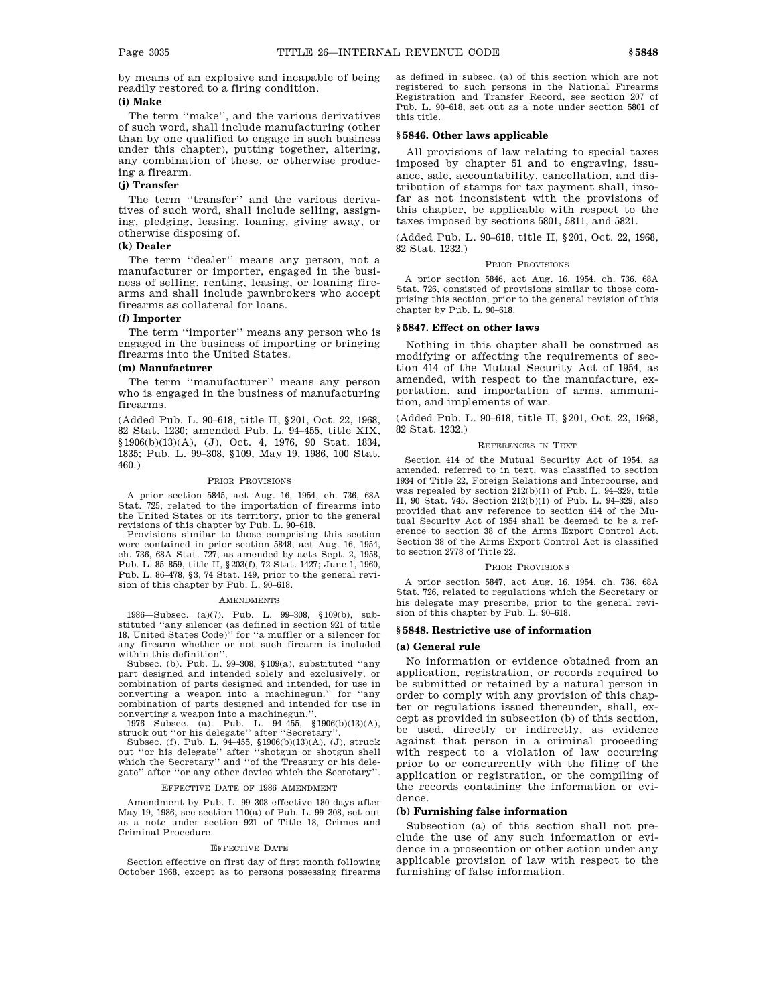by means of an explosive and incapable of being readily restored to a firing condition.

# **(i) Make**

The term ''make'', and the various derivatives of such word, shall include manufacturing (other than by one qualified to engage in such business under this chapter), putting together, altering, any combination of these, or otherwise producing a firearm.

# **(j) Transfer**

The term "transfer" and the various derivatives of such word, shall include selling, assigning, pledging, leasing, loaning, giving away, or otherwise disposing of.

# **(k) Dealer**

The term ''dealer'' means any person, not a manufacturer or importer, engaged in the business of selling, renting, leasing, or loaning firearms and shall include pawnbrokers who accept firearms as collateral for loans.

# **(***l***) Importer**

The term ''importer'' means any person who is engaged in the business of importing or bringing firearms into the United States.

# **(m) Manufacturer**

The term ''manufacturer'' means any person who is engaged in the business of manufacturing firearms.

(Added Pub. L. 90–618, title II, §201, Oct. 22, 1968, 82 Stat. 1230; amended Pub. L. 94–455, title XIX, §1906(b)(13)(A), (J), Oct. 4, 1976, 90 Stat. 1834, 1835; Pub. L. 99–308, §109, May 19, 1986, 100 Stat. 460.)

#### PRIOR PROVISIONS

A prior section 5845, act Aug. 16, 1954, ch. 736, 68A Stat. 725, related to the importation of firearms into the United States or its territory, prior to the general revisions of this chapter by Pub. L. 90–618.

Provisions similar to those comprising this section were contained in prior section 5848, act Aug. 16, 1954, ch. 736, 68A Stat. 727, as amended by acts Sept. 2, 1958, Pub. L. 85–859, title II, §203(f), 72 Stat. 1427; June 1, 1960, Pub. L. 86–478, §3, 74 Stat. 149, prior to the general revision of this chapter by Pub. L. 90–618.

### **AMENDMENTS**

1986—Subsec. (a)(7). Pub. L. 99–308, §109(b), substituted ''any silencer (as defined in section 921 of title 18, United States Code)'' for ''a muffler or a silencer for any firearm whether or not such firearm is included within this definition''.

Subsec. (b). Pub. L. 99–308, §109(a), substituted ''any part designed and intended solely and exclusively, or combination of parts designed and intended, for use in converting a weapon into a machinegun,'' for ''any combination of parts designed and intended for use in

converting a weapon into a machinegun,''. 1976—Subsec. (a). Pub. L. 94–455, §1906(b)(13)(A), struck out ''or his delegate'' after ''Secretary''.

Subsec. (f). Pub. L. 94–455, §1906(b)(13)(A), (J), struck<br>out "or his delegate" after "shotgun or shotgun shell<br>which the Secretary" and "of the Treasury or his delegate'' after ''or any other device which the Secretary''.

## EFFECTIVE DATE OF 1986 AMENDMENT

Amendment by Pub. L. 99–308 effective 180 days after May 19, 1986, see section 110(a) of Pub. L. 99–308, set out as a note under section 921 of Title 18, Crimes and Criminal Procedure.

#### EFFECTIVE DATE

Section effective on first day of first month following October 1968, except as to persons possessing firearms as defined in subsec. (a) of this section which are not registered to such persons in the National Firearms Registration and Transfer Record, see section 207 of Pub. L. 90–618, set out as a note under section 5801 of this title.

### **§ 5846. Other laws applicable**

All provisions of law relating to special taxes imposed by chapter 51 and to engraving, issuance, sale, accountability, cancellation, and distribution of stamps for tax payment shall, insofar as not inconsistent with the provisions of this chapter, be applicable with respect to the taxes imposed by sections 5801, 5811, and 5821.

(Added Pub. L. 90–618, title II, §201, Oct. 22, 1968, 82 Stat. 1232.)

### PRIOR PROVISIONS

A prior section 5846, act Aug. 16, 1954, ch. 736, 68A Stat. 726, consisted of provisions similar to those comprising this section, prior to the general revision of this chapter by Pub. L. 90–618.

# **§ 5847. Effect on other laws**

Nothing in this chapter shall be construed as modifying or affecting the requirements of section 414 of the Mutual Security Act of 1954, as amended, with respect to the manufacture, exportation, and importation of arms, ammunition, and implements of war.

(Added Pub. L. 90–618, title II, §201, Oct. 22, 1968, 82 Stat. 1232.)

#### REFERENCES IN TEXT

Section 414 of the Mutual Security Act of 1954, as amended, referred to in text, was classified to section 1934 of Title 22, Foreign Relations and Intercourse, and was repealed by section 212(b)(1) of Pub. L. 94–329, title II, 90 Stat. 745. Section 212(b)(1) of Pub. L. 94–329, also provided that any reference to section 414 of the Mutual Security Act of 1954 shall be deemed to be a reference to section 38 of the Arms Export Control Act. Section 38 of the Arms Export Control Act is classified to section 2778 of Title 22.

#### PRIOR PROVISIONS

A prior section 5847, act Aug. 16, 1954, ch. 736, 68A Stat. 726, related to regulations which the Secretary or his delegate may prescribe, prior to the general revision of this chapter by Pub. L. 90–618.

### **§ 5848. Restrictive use of information**

# **(a) General rule**

No information or evidence obtained from an application, registration, or records required to be submitted or retained by a natural person in order to comply with any provision of this chapter or regulations issued thereunder, shall, except as provided in subsection (b) of this section, be used, directly or indirectly, as evidence against that person in a criminal proceeding with respect to a violation of law occurring prior to or concurrently with the filing of the application or registration, or the compiling of the records containing the information or evidence.

# **(b) Furnishing false information**

Subsection (a) of this section shall not preclude the use of any such information or evidence in a prosecution or other action under any applicable provision of law with respect to the furnishing of false information.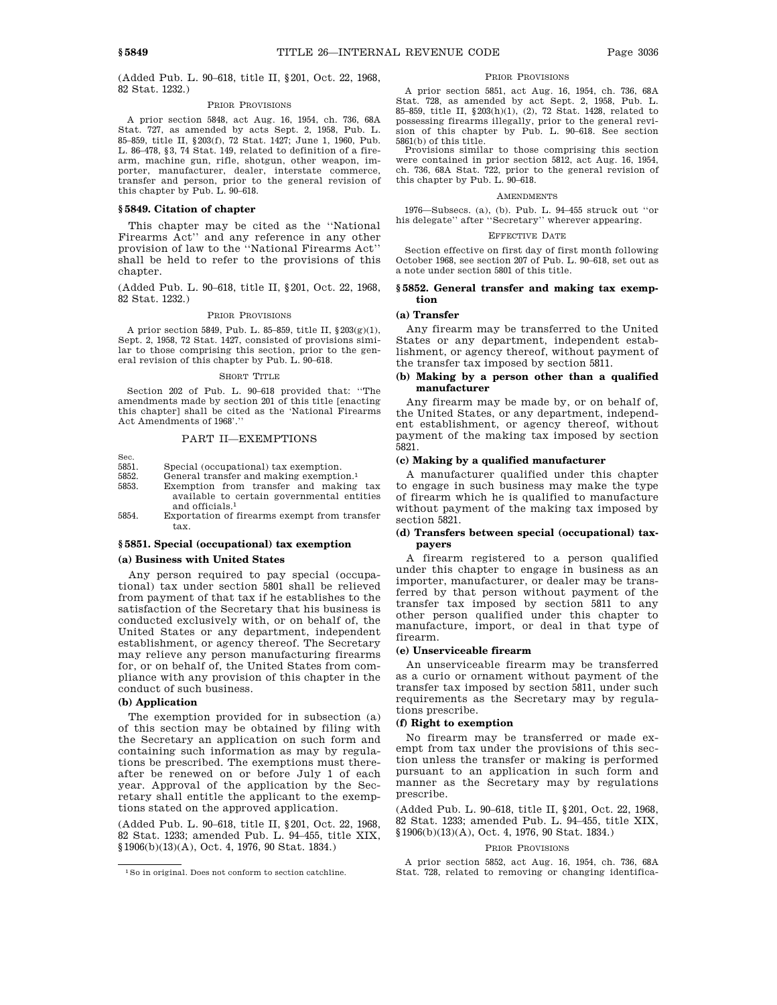(Added Pub. L. 90–618, title II, §201, Oct. 22, 1968, 82 Stat. 1232.)

#### PRIOR PROVISIONS

A prior section 5848, act Aug. 16, 1954, ch. 736, 68A Stat. 727, as amended by acts Sept. 2, 1958, Pub. L. 85–859, title II, §203(f), 72 Stat. 1427; June 1, 1960, Pub. L. 86–478, §3, 74 Stat. 149, related to definition of a firearm, machine gun, rifle, shotgun, other weapon, importer, manufacturer, dealer, interstate commerce, transfer and person, prior to the general revision of this chapter by Pub. L. 90–618.

### **§ 5849. Citation of chapter**

This chapter may be cited as the ''National Firearms Act'' and any reference in any other provision of law to the ''National Firearms Act'' shall be held to refer to the provisions of this chapter.

(Added Pub. L. 90–618, title II, §201, Oct. 22, 1968, 82 Stat. 1232.)

### PRIOR PROVISIONS

A prior section 5849, Pub. L. 85–859, title II, §203(g)(1), Sept. 2, 1958, 72 Stat. 1427, consisted of provisions similar to those comprising this section, prior to the general revision of this chapter by Pub. L. 90–618.

### SHORT TITLE

Section 202 of Pub. L. 90–618 provided that: ''The amendments made by section 201 of this title [enacting this chapter] shall be cited as the 'National Firearms Act Amendments of 1968'.''

# PART II—EXEMPTIONS

Sec.<br>5851.

- 5851. Special (occupational) tax exemption.<br>5852. General transfer and making exemption
- 5852. General transfer and making exemption.<sup>1</sup><br>5853. Exemption from transfer and making Exemption from transfer and making tax
- available to certain governmental entities and officials.1
- 5854. Exportation of firearms exempt from transfer tax.

# **§ 5851. Special (occupational) tax exemption**

# **(a) Business with United States**

Any person required to pay special (occupational) tax under section 5801 shall be relieved from payment of that tax if he establishes to the satisfaction of the Secretary that his business is conducted exclusively with, or on behalf of, the United States or any department, independent establishment, or agency thereof. The Secretary may relieve any person manufacturing firearms for, or on behalf of, the United States from compliance with any provision of this chapter in the conduct of such business.

### **(b) Application**

The exemption provided for in subsection (a) of this section may be obtained by filing with the Secretary an application on such form and containing such information as may by regulations be prescribed. The exemptions must thereafter be renewed on or before July 1 of each year. Approval of the application by the Secretary shall entitle the applicant to the exemptions stated on the approved application.

(Added Pub. L. 90–618, title II, §201, Oct. 22, 1968, 82 Stat. 1233; amended Pub. L. 94–455, title XIX, §1906(b)(13)(A), Oct. 4, 1976, 90 Stat. 1834.)

# PRIOR PROVISIONS

A prior section 5851, act Aug. 16, 1954, ch. 736, 68A Stat. 728, as amended by act Sept. 2, 1958, Pub. L. 85–859, title II, §203(h)(1), (2), 72 Stat. 1428, related to possessing firearms illegally, prior to the general revi-sion of this chapter by Pub. L. 90–618. See section 5861(b) of this title.

Provisions similar to those comprising this section were contained in prior section 5812, act Aug. 16, 1954, ch. 736, 68A Stat. 722, prior to the general revision of this chapter by Pub. L. 90–618.

#### AMENDMENTS

1976—Subsecs. (a), (b). Pub. L. 94–455 struck out ''or his delegate'' after ''Secretary'' wherever appearing.

#### EFFECTIVE DATE

Section effective on first day of first month following October 1968, see section 207 of Pub. L. 90–618, set out as a note under section 5801 of this title.

### **§ 5852. General transfer and making tax exemption**

## **(a) Transfer**

Any firearm may be transferred to the United States or any department, independent establishment, or agency thereof, without payment of the transfer tax imposed by section 5811.

# **(b) Making by a person other than a qualified manufacturer**

Any firearm may be made by, or on behalf of, the United States, or any department, independent establishment, or agency thereof, without payment of the making tax imposed by section 5821.

# **(c) Making by a qualified manufacturer**

A manufacturer qualified under this chapter to engage in such business may make the type of firearm which he is qualified to manufacture without payment of the making tax imposed by section 5821.

# **(d) Transfers between special (occupational) taxpayers**

A firearm registered to a person qualified under this chapter to engage in business as an importer, manufacturer, or dealer may be transferred by that person without payment of the transfer tax imposed by section 5811 to any other person qualified under this chapter to manufacture, import, or deal in that type of firearm.

# **(e) Unserviceable firearm**

An unserviceable firearm may be transferred as a curio or ornament without payment of the transfer tax imposed by section 5811, under such requirements as the Secretary may by regulations prescribe.

# **(f) Right to exemption**

No firearm may be transferred or made exempt from tax under the provisions of this section unless the transfer or making is performed pursuant to an application in such form and manner as the Secretary may by regulations prescribe.

(Added Pub. L. 90–618, title II, §201, Oct. 22, 1968, 82 Stat. 1233; amended Pub. L. 94–455, title XIX, §1906(b)(13)(A), Oct. 4, 1976, 90 Stat. 1834.)

#### PRIOR PROVISIONS

A prior section 5852, act Aug. 16, 1954, ch. 736, 68A Stat. 728, related to removing or changing identifica-

<sup>1</sup>So in original. Does not conform to section catchline.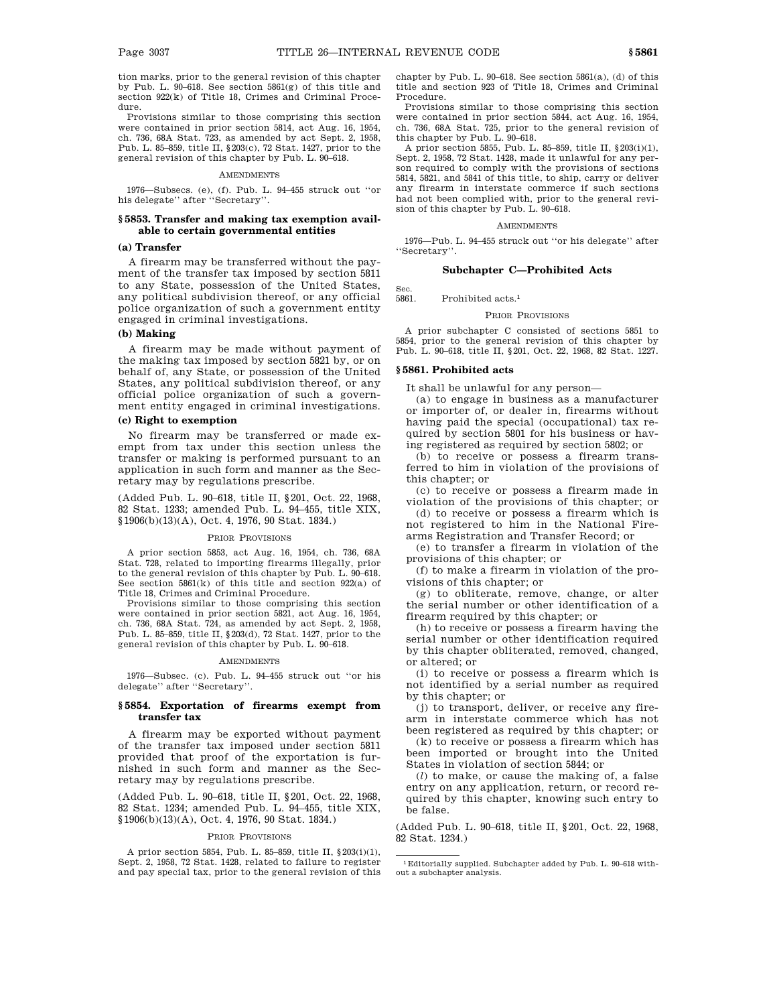tion marks, prior to the general revision of this chapter by Pub. L. 90–618. See section 5861(g) of this title and section 922(k) of Title 18, Crimes and Criminal Procedure.

Provisions similar to those comprising this section were contained in prior section 5814, act Aug. 16, 1954, ch. 736, 68A Stat. 723, as amended by act Sept. 2, 1958, Pub. L. 85–859, title II, §203(c), 72 Stat. 1427, prior to the general revision of this chapter by Pub. L. 90–618.

### AMENDMENTS

1976—Subsecs. (e), (f). Pub. L. 94–455 struck out ''or his delegate'' after ''Secretary''.

# **§ 5853. Transfer and making tax exemption available to certain governmental entities**

# **(a) Transfer**

A firearm may be transferred without the payment of the transfer tax imposed by section 5811 to any State, possession of the United States, any political subdivision thereof, or any official police organization of such a government entity engaged in criminal investigations.

# **(b) Making**

A firearm may be made without payment of the making tax imposed by section 5821 by, or on behalf of, any State, or possession of the United States, any political subdivision thereof, or any official police organization of such a government entity engaged in criminal investigations.

# **(c) Right to exemption**

No firearm may be transferred or made exempt from tax under this section unless the transfer or making is performed pursuant to an application in such form and manner as the Secretary may by regulations prescribe.

(Added Pub. L. 90–618, title II, §201, Oct. 22, 1968, 82 Stat. 1233; amended Pub. L. 94–455, title XIX, §1906(b)(13)(A), Oct. 4, 1976, 90 Stat. 1834.)

### PRIOR PROVISIONS

A prior section 5853, act Aug. 16, 1954, ch. 736, 68A Stat. 728, related to importing firearms illegally, prior to the general revision of this chapter by Pub. L. 90–618. See section 5861(k) of this title and section 922(a) of Title 18, Crimes and Criminal Procedure.

Provisions similar to those comprising this section were contained in prior section 5821, act Aug. 16, 1954, ch. 736, 68A Stat. 724, as amended by act Sept. 2, 1958, Pub. L. 85–859, title II, §203(d), 72 Stat. 1427, prior to the general revision of this chapter by Pub. L. 90–618.

#### AMENDMENTS

1976—Subsec. (c). Pub. L. 94–455 struck out ''or his delegate'' after ''Secretary''.

### **§ 5854. Exportation of firearms exempt from transfer tax**

A firearm may be exported without payment of the transfer tax imposed under section 5811 provided that proof of the exportation is furnished in such form and manner as the Secretary may by regulations prescribe.

(Added Pub. L. 90–618, title II, §201, Oct. 22, 1968, 82 Stat. 1234; amended Pub. L. 94–455, title XIX, §1906(b)(13)(A), Oct. 4, 1976, 90 Stat. 1834.)

#### PRIOR PROVISIONS

A prior section 5854, Pub. L. 85–859, title II, §203(i)(1), Sept. 2, 1958, 72 Stat. 1428, related to failure to register and pay special tax, prior to the general revision of this chapter by Pub. L. 90–618. See section 5861(a), (d) of this title and section 923 of Title 18, Crimes and Criminal Procedure.

Provisions similar to those comprising this section were contained in prior section 5844, act Aug. 16, 1954, ch. 736, 68A Stat. 725, prior to the general revision of this chapter by Pub. L. 90–618.

A prior section 5855, Pub. L. 85–859, title II, §203(i)(1), Sept. 2, 1958, 72 Stat. 1428, made it unlawful for any person required to comply with the provisions of sections 5814, 5821, and 5841 of this title, to ship, carry or deliver any firearm in interstate commerce if such sections had not been complied with, prior to the general revision of this chapter by Pub. L. 90–618.

### **AMENDMENTS**

1976—Pub. L. 94–455 struck out ''or his delegate'' after ''Secretary''.

# **Subchapter C—Prohibited Acts**

Sec.<br>5861 Prohibited acts.<sup>1</sup>

#### PRIOR PROVISIONS

A prior subchapter C consisted of sections 5851 to 5854, prior to the general revision of this chapter by Pub. L. 90–618, title II, §201, Oct. 22, 1968, 82 Stat. 1227.

### **§ 5861. Prohibited acts**

It shall be unlawful for any person—

(a) to engage in business as a manufacturer or importer of, or dealer in, firearms without having paid the special (occupational) tax required by section 5801 for his business or having registered as required by section 5802; or

(b) to receive or possess a firearm transferred to him in violation of the provisions of this chapter; or

(c) to receive or possess a firearm made in violation of the provisions of this chapter; or

(d) to receive or possess a firearm which is not registered to him in the National Firearms Registration and Transfer Record; or

(e) to transfer a firearm in violation of the provisions of this chapter; or

(f) to make a firearm in violation of the provisions of this chapter; or

(g) to obliterate, remove, change, or alter the serial number or other identification of a firearm required by this chapter; or

(h) to receive or possess a firearm having the serial number or other identification required by this chapter obliterated, removed, changed, or altered; or

(i) to receive or possess a firearm which is not identified by a serial number as required by this chapter; or

(j) to transport, deliver, or receive any firearm in interstate commerce which has not been registered as required by this chapter; or

(k) to receive or possess a firearm which has been imported or brought into the United States in violation of section 5844; or

(*l*) to make, or cause the making of, a false entry on any application, return, or record required by this chapter, knowing such entry to be false.

(Added Pub. L. 90–618, title II, §201, Oct. 22, 1968, 82 Stat. 1234.)

<sup>1</sup>Editorially supplied. Subchapter added by Pub. L. 90–618 without a subchapter analysis.